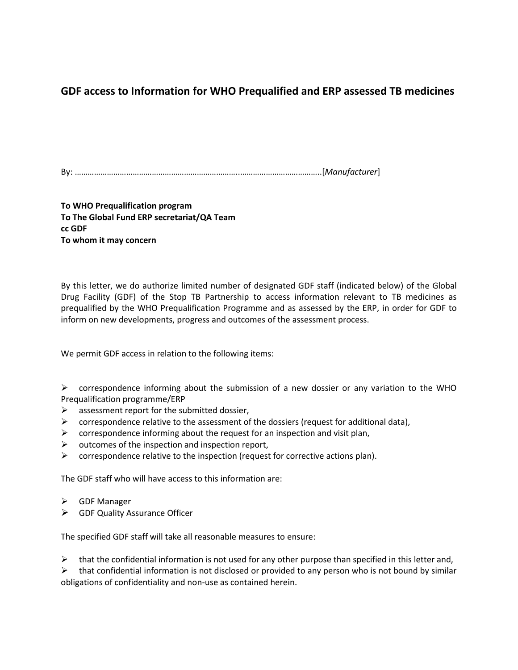## **GDF access to Information for WHO Prequalified and ERP assessed TB medicines**

By: …………………………………………………………………..………………………………..[*Manufacturer*]

**To WHO Prequalification program To The Global Fund ERP secretariat/QA Team cc GDF To whom it may concern**

By this letter, we do authorize limited number of designated GDF staff (indicated below) of the Global Drug Facility (GDF) of the Stop TB Partnership to access information relevant to TB medicines as prequalified by the WHO Prequalification Programme and as assessed by the ERP, in order for GDF to inform on new developments, progress and outcomes of the assessment process.

We permit GDF access in relation to the following items:

 $\triangleright$  correspondence informing about the submission of a new dossier or any variation to the WHO Prequalification programme/ERP

- $\triangleright$  assessment report for the submitted dossier,
- $\triangleright$  correspondence relative to the assessment of the dossiers (request for additional data),
- $\triangleright$  correspondence informing about the request for an inspection and visit plan,
- $\triangleright$  outcomes of the inspection and inspection report,
- $\triangleright$  correspondence relative to the inspection (request for corrective actions plan).

The GDF staff who will have access to this information are:

- GDF Manager
- $\triangleright$  GDF Quality Assurance Officer

The specified GDF staff will take all reasonable measures to ensure:

 $\triangleright$  that the confidential information is not used for any other purpose than specified in this letter and,

 $\triangleright$  that confidential information is not disclosed or provided to any person who is not bound by similar obligations of confidentiality and non-use as contained herein.